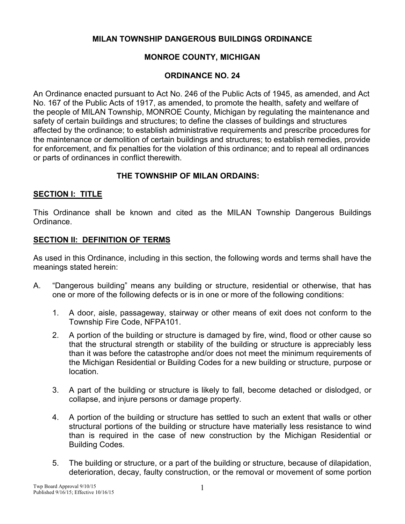## **MILAN TOWNSHIP DANGEROUS BUILDINGS ORDINANCE**

# **MONROE COUNTY, MICHIGAN**

## **ORDINANCE NO. 24**

An Ordinance enacted pursuant to Act No. 246 of the Public Acts of 1945, as amended, and Act No. 167 of the Public Acts of 1917, as amended, to promote the health, safety and welfare of the people of MILAN Township, MONROE County, Michigan by regulating the maintenance and safety of certain buildings and structures; to define the classes of buildings and structures affected by the ordinance; to establish administrative requirements and prescribe procedures for the maintenance or demolition of certain buildings and structures; to establish remedies, provide for enforcement, and fix penalties for the violation of this ordinance; and to repeal all ordinances or parts of ordinances in conflict therewith.

## **THE TOWNSHIP OF MILAN ORDAINS:**

#### **SECTION I: TITLE**

This Ordinance shall be known and cited as the MILAN Township Dangerous Buildings Ordinance.

## **SECTION II: DEFINITION OF TERMS**

As used in this Ordinance, including in this section, the following words and terms shall have the meanings stated herein:

- A. "Dangerous building" means any building or structure, residential or otherwise, that has one or more of the following defects or is in one or more of the following conditions:
	- 1. A door, aisle, passageway, stairway or other means of exit does not conform to the Township Fire Code, NFPA101.
	- 2. A portion of the building or structure is damaged by fire, wind, flood or other cause so that the structural strength or stability of the building or structure is appreciably less than it was before the catastrophe and/or does not meet the minimum requirements of the Michigan Residential or Building Codes for a new building or structure, purpose or location.
	- 3. A part of the building or structure is likely to fall, become detached or dislodged, or collapse, and injure persons or damage property.
	- 4. A portion of the building or structure has settled to such an extent that walls or other structural portions of the building or structure have materially less resistance to wind than is required in the case of new construction by the Michigan Residential or Building Codes.
	- 5. The building or structure, or a part of the building or structure, because of dilapidation, deterioration, decay, faulty construction, or the removal or movement of some portion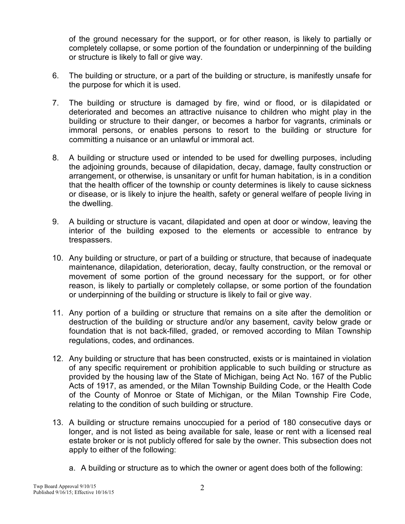of the ground necessary for the support, or for other reason, is likely to partially or completely collapse, or some portion of the foundation or underpinning of the building or structure is likely to fall or give way.

- 6. The building or structure, or a part of the building or structure, is manifestly unsafe for the purpose for which it is used.
- 7. The building or structure is damaged by fire, wind or flood, or is dilapidated or deteriorated and becomes an attractive nuisance to children who might play in the building or structure to their danger, or becomes a harbor for vagrants, criminals or immoral persons, or enables persons to resort to the building or structure for committing a nuisance or an unlawful or immoral act.
- 8. A building or structure used or intended to be used for dwelling purposes, including the adjoining grounds, because of dilapidation, decay, damage, faulty construction or arrangement, or otherwise, is unsanitary or unfit for human habitation, is in a condition that the health officer of the township or county determines is likely to cause sickness or disease, or is likely to injure the health, safety or general welfare of people living in the dwelling.
- 9. A building or structure is vacant, dilapidated and open at door or window, leaving the interior of the building exposed to the elements or accessible to entrance by trespassers.
- 10. Any building or structure, or part of a building or structure, that because of inadequate maintenance, dilapidation, deterioration, decay, faulty construction, or the removal or movement of some portion of the ground necessary for the support, or for other reason, is likely to partially or completely collapse, or some portion of the foundation or underpinning of the building or structure is likely to fail or give way.
- 11. Any portion of a building or structure that remains on a site after the demolition or destruction of the building or structure and/or any basement, cavity below grade or foundation that is not back-filled, graded, or removed according to Milan Township regulations, codes, and ordinances.
- 12. Any building or structure that has been constructed, exists or is maintained in violation of any specific requirement or prohibition applicable to such building or structure as provided by the housing law of the State of Michigan, being Act No. 167 of the Public Acts of 1917, as amended, or the Milan Township Building Code, or the Health Code of the County of Monroe or State of Michigan, or the Milan Township Fire Code, relating to the condition of such building or structure.
- 13. A building or structure remains unoccupied for a period of 180 consecutive days or longer, and is not listed as being available for sale, lease or rent with a licensed real estate broker or is not publicly offered for sale by the owner. This subsection does not apply to either of the following:
	- a. A building or structure as to which the owner or agent does both of the following: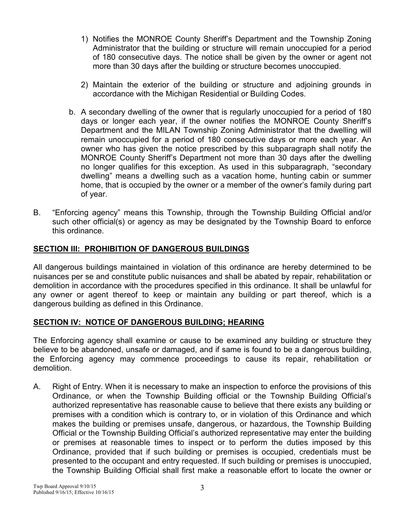- 1) Notifies the MONROE County Sheriff's Department and the Township Zoning Administrator that the building or structure will remain unoccupied for a period of 180 consecutive days. The notice shall be given by the owner or agent not more than 30 days after the building or structure becomes unoccupied.
- 2) Maintain the exterior of the building or structure and adjoining grounds in accordance with the Michigan Residential or Building Codes.
- b. A secondary dwelling of the owner that is regularly unoccupied for a period of 180 days or longer each year, if the owner notifies the MONROE County Sheriff's Department and the MILAN Township Zoning Administrator that the dwelling will remain unoccupied for a period of 180 consecutive days or more each year. An owner who has given the notice prescribed by this subparagraph shall notify the MONROE County Sheriff's Department not more than 30 days after the dwelling no longer qualifies for this exception. As used in this subparagraph, "secondary dwelling" means a dwelling such as a vacation home, hunting cabin or summer home, that is occupied by the owner or a member of the owner's family during part of year.
- B. "Enforcing agency" means this Township, through the Township Building Official and/or such other official(s) or agency as may be designated by the Township Board to enforce this ordinance.

# **SECTION III: PROHIBITION OF DANGEROUS BUILDINGS**

All dangerous buildings maintained in violation of this ordinance are hereby determined to be nuisances per se and constitute public nuisances and shall be abated by repair, rehabilitation or demolition in accordance with the procedures specified in this ordinance. It shall be unlawful for any owner or agent thereof to keep or maintain any building or part thereof, which is a dangerous building as defined in this Ordinance.

#### **SECTION IV: NOTICE OF DANGEROUS BUILDING; HEARING**

The Enforcing agency shall examine or cause to be examined any building or structure they believe to be abandoned, unsafe or damaged, and if same is found to be a dangerous building, the Enforcing agency may commence proceedings to cause its repair, rehabilitation or demolition.

A. Right of Entry. When it is necessary to make an inspection to enforce the provisions of this Ordinance, or when the Township Building official or the Township Building Official's authorized representative has reasonable cause to believe that there exists any building or premises with a condition which is contrary to, or in violation of this Ordinance and which makes the building or premises unsafe, dangerous, or hazardous, the Township Building Official or the Township Building Official's authorized representative may enter the building or premises at reasonable times to inspect or to perform the duties imposed by this Ordinance, provided that if such building or premises is occupied, credentials must be presented to the occupant and entry requested. If such building or premises is unoccupied, the Township Building Official shall first make a reasonable effort to locate the owner or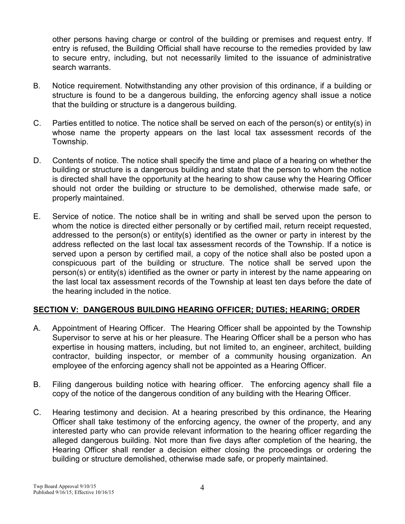other persons having charge or control of the building or premises and request entry. If entry is refused, the Building Official shall have recourse to the remedies provided by law to secure entry, including, but not necessarily limited to the issuance of administrative search warrants.

- B. Notice requirement. Notwithstanding any other provision of this ordinance, if a building or structure is found to be a dangerous building, the enforcing agency shall issue a notice that the building or structure is a dangerous building.
- C. Parties entitled to notice. The notice shall be served on each of the person(s) or entity(s) in whose name the property appears on the last local tax assessment records of the Township.
- D. Contents of notice. The notice shall specify the time and place of a hearing on whether the building or structure is a dangerous building and state that the person to whom the notice is directed shall have the opportunity at the hearing to show cause why the Hearing Officer should not order the building or structure to be demolished, otherwise made safe, or properly maintained.
- E. Service of notice. The notice shall be in writing and shall be served upon the person to whom the notice is directed either personally or by certified mail, return receipt requested, addressed to the person(s) or entity(s) identified as the owner or party in interest by the address reflected on the last local tax assessment records of the Township. If a notice is served upon a person by certified mail, a copy of the notice shall also be posted upon a conspicuous part of the building or structure. The notice shall be served upon the person(s) or entity(s) identified as the owner or party in interest by the name appearing on the last local tax assessment records of the Township at least ten days before the date of the hearing included in the notice.

# **SECTION V: DANGEROUS BUILDING HEARING OFFICER; DUTIES; HEARING; ORDER**

- A. Appointment of Hearing Officer. The Hearing Officer shall be appointed by the Township Supervisor to serve at his or her pleasure. The Hearing Officer shall be a person who has expertise in housing matters, including, but not limited to, an engineer, architect, building contractor, building inspector, or member of a community housing organization. An employee of the enforcing agency shall not be appointed as a Hearing Officer.
- B. Filing dangerous building notice with hearing officer. The enforcing agency shall file a copy of the notice of the dangerous condition of any building with the Hearing Officer.
- C. Hearing testimony and decision. At a hearing prescribed by this ordinance, the Hearing Officer shall take testimony of the enforcing agency, the owner of the property, and any interested party who can provide relevant information to the hearing officer regarding the alleged dangerous building. Not more than five days after completion of the hearing, the Hearing Officer shall render a decision either closing the proceedings or ordering the building or structure demolished, otherwise made safe, or properly maintained.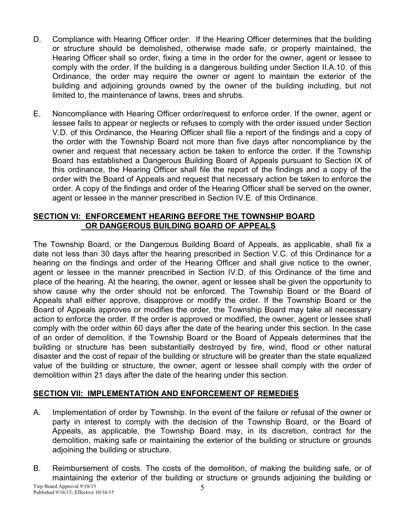- D. Compliance with Hearing Officer order. If the Hearing Officer determines that the building or structure should be demolished, otherwise made safe, or properly maintained, the Hearing Officer shall so order, fixing a time in the order for the owner, agent or lessee to comply with the order. If the building is a dangerous building under Section II.A.10. of this Ordinance, the order may require the owner or agent to maintain the exterior of the building and adjoining grounds owned by the owner of the building including, but not limited to, the maintenance of lawns, trees and shrubs.
- E. Noncompliance with Hearing Officer order/request to enforce order. If the owner, agent or lessee fails to appear or neglects or refuses to comply with the order issued under Section V.D. of this Ordinance, the Hearing Officer shall file a report of the findings and a copy of the order with the Township Board not more than five days after noncompliance by the owner and request that necessary action be taken to enforce the order. If the Township Board has established a Dangerous Building Board of Appeals pursuant to Section IX of this ordinance, the Hearing Officer shall file the report of the findings and a copy of the order with the Board of Appeals and request that necessary action be taken to enforce the order. A copy of the findings and order of the Hearing Officer shall be served on the owner, agent or lessee in the manner prescribed in Section IV.E. of this Ordinance.

## **SECTION VI: ENFORCEMENT HEARING BEFORE THE TOWNSHIP BOARD OR DANGEROUS BUILDING BOARD OF APPEALS**

The Township Board, or the Dangerous Building Board of Appeals, as applicable, shall fix a date not less than 30 days after the hearing prescribed in Section V.C. of this Ordinance for a hearing on the findings and order of the Hearing Officer and shall give notice to the owner, agent or lessee in the manner prescribed in Section IV.D. of this Ordinance of the time and place of the hearing. At the hearing, the owner, agent or lessee shall be given the opportunity to show cause why the order should not be enforced. The Township Board or the Board of Appeals shall either approve, disapprove or modify the order. If the Township Board or the Board of Appeals approves or modifies the order, the Township Board may take all necessary action to enforce the order. If the order is approved or modified, the owner, agent or lessee shall comply with the order within 60 days after the date of the hearing under this section. In the case of an order of demolition, if the Township Board or the Board of Appeals determines that the building or structure has been substantially destroyed by fire, wind, flood or other natural disaster and the cost of repair of the building or structure will be greater than the state equalized value of the building or structure, the owner, agent or lessee shall comply with the order of demolition within 21 days after the date of the hearing under this section.

# **SECTION VII: IMPLEMENTATION AND ENFORCEMENT OF REMEDIES**

- A. Implementation of order by Township. In the event of the failure or refusal of the owner or party in interest to comply with the decision of the Township Board, or the Board of Appeals, as applicable, the Township Board may, in its discretion, contract for the demolition, making safe or maintaining the exterior of the building or structure or grounds adjoining the building or structure.
- B. Reimbursement of costs. The costs of the demolition, of making the building safe, or of maintaining the exterior of the building or structure or grounds adjoining the building or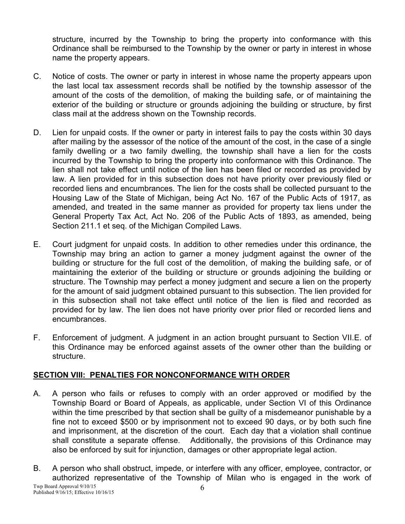structure, incurred by the Township to bring the property into conformance with this Ordinance shall be reimbursed to the Township by the owner or party in interest in whose name the property appears.

- C. Notice of costs. The owner or party in interest in whose name the property appears upon the last local tax assessment records shall be notified by the township assessor of the amount of the costs of the demolition, of making the building safe, or of maintaining the exterior of the building or structure or grounds adjoining the building or structure, by first class mail at the address shown on the Township records.
- D. Lien for unpaid costs. If the owner or party in interest fails to pay the costs within 30 days after mailing by the assessor of the notice of the amount of the cost, in the case of a single family dwelling or a two family dwelling, the township shall have a lien for the costs incurred by the Township to bring the property into conformance with this Ordinance. The lien shall not take effect until notice of the lien has been filed or recorded as provided by law. A lien provided for in this subsection does not have priority over previously filed or recorded liens and encumbrances. The lien for the costs shall be collected pursuant to the Housing Law of the State of Michigan, being Act No. 167 of the Public Acts of 1917, as amended, and treated in the same manner as provided for property tax liens under the General Property Tax Act, Act No. 206 of the Public Acts of 1893, as amended, being Section 211.1 et seq. of the Michigan Compiled Laws.
- E. Court judgment for unpaid costs. In addition to other remedies under this ordinance, the Township may bring an action to garner a money judgment against the owner of the building or structure for the full cost of the demolition, of making the building safe, or of maintaining the exterior of the building or structure or grounds adjoining the building or structure. The Township may perfect a money judgment and secure a lien on the property for the amount of said judgment obtained pursuant to this subsection. The lien provided for in this subsection shall not take effect until notice of the lien is filed and recorded as provided for by law. The lien does not have priority over prior filed or recorded liens and encumbrances.
- F. Enforcement of judgment. A judgment in an action brought pursuant to Section VII.E. of this Ordinance may be enforced against assets of the owner other than the building or structure.

# **SECTION VIII: PENALTIES FOR NONCONFORMANCE WITH ORDER**

- A. A person who fails or refuses to comply with an order approved or modified by the Township Board or Board of Appeals, as applicable, under Section VI of this Ordinance within the time prescribed by that section shall be guilty of a misdemeanor punishable by a fine not to exceed \$500 or by imprisonment not to exceed 90 days, or by both such fine and imprisonment, at the discretion of the court. Each day that a violation shall continue shall constitute a separate offense. Additionally, the provisions of this Ordinance may also be enforced by suit for injunction, damages or other appropriate legal action.
- B. A person who shall obstruct, impede, or interfere with any officer, employee, contractor, or authorized representative of the Township of Milan who is engaged in the work of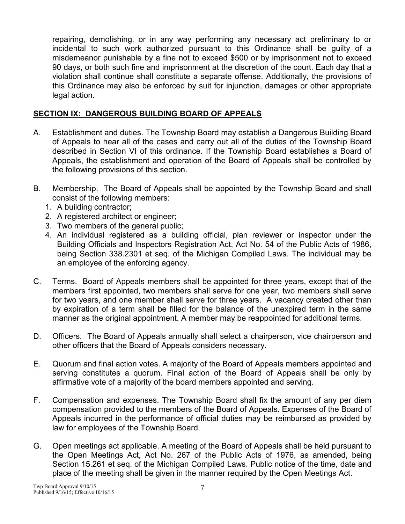repairing, demolishing, or in any way performing any necessary act preliminary to or incidental to such work authorized pursuant to this Ordinance shall be guilty of a misdemeanor punishable by a fine not to exceed \$500 or by imprisonment not to exceed 90 days, or both such fine and imprisonment at the discretion of the court. Each day that a violation shall continue shall constitute a separate offense. Additionally, the provisions of this Ordinance may also be enforced by suit for injunction, damages or other appropriate legal action.

# **SECTION IX: DANGEROUS BUILDING BOARD OF APPEALS**

- A. Establishment and duties. The Township Board may establish a Dangerous Building Board of Appeals to hear all of the cases and carry out all of the duties of the Township Board described in Section VI of this ordinance. If the Township Board establishes a Board of Appeals, the establishment and operation of the Board of Appeals shall be controlled by the following provisions of this section.
- B. Membership. The Board of Appeals shall be appointed by the Township Board and shall consist of the following members:
	- 1. A building contractor;
	- 2. A registered architect or engineer;
	- 3. Two members of the general public;
	- 4. An individual registered as a building official, plan reviewer or inspector under the Building Officials and Inspectors Registration Act, Act No. 54 of the Public Acts of 1986, being Section 338.2301 et seq. of the Michigan Compiled Laws. The individual may be an employee of the enforcing agency.
- C. Terms. Board of Appeals members shall be appointed for three years, except that of the members first appointed, two members shall serve for one year, two members shall serve for two years, and one member shall serve for three years. A vacancy created other than by expiration of a term shall be filled for the balance of the unexpired term in the same manner as the original appointment. A member may be reappointed for additional terms.
- D. Officers. The Board of Appeals annually shall select a chairperson, vice chairperson and other officers that the Board of Appeals considers necessary.
- E. Quorum and final action votes. A majority of the Board of Appeals members appointed and serving constitutes a quorum. Final action of the Board of Appeals shall be only by affirmative vote of a majority of the board members appointed and serving.
- F. Compensation and expenses. The Township Board shall fix the amount of any per diem compensation provided to the members of the Board of Appeals. Expenses of the Board of Appeals incurred in the performance of official duties may be reimbursed as provided by law for employees of the Township Board.
- G. Open meetings act applicable. A meeting of the Board of Appeals shall be held pursuant to the Open Meetings Act, Act No. 267 of the Public Acts of 1976, as amended, being Section 15.261 et seq. of the Michigan Compiled Laws. Public notice of the time, date and place of the meeting shall be given in the manner required by the Open Meetings Act.